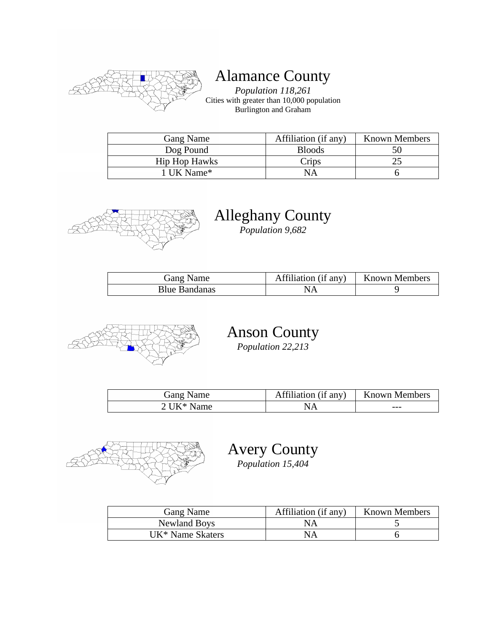

# Alamance County

*Population 118,261* Cities with greater than 10,000 population Burlington and Graham

| Gang Name            | Affiliation (if any) | <b>Known Members</b> |
|----------------------|----------------------|----------------------|
| Dog Pound            | <b>Bloods</b>        |                      |
| <b>Hip Hop Hawks</b> | Crips                |                      |
| ∣ UK Name*           | NΑ                   |                      |



# Alleghany County

*Population 9,682*

| Gang Name            | Affiliation (if any) | <b>Known Members</b> |
|----------------------|----------------------|----------------------|
| <b>Blue Bandanas</b> |                      |                      |



# Anson County

*Population 22,213*

| Gang Name  | Affiliation (if any) | Known Members |
|------------|----------------------|---------------|
| 2 UK* Name |                      | ---           |



Avery County *Population 15,404*

| Gang Name                    | Affiliation (if any) | <b>Known Members</b> |
|------------------------------|----------------------|----------------------|
| Newland Boys                 | NА                   |                      |
| UK <sup>*</sup> Name Skaters | NА                   |                      |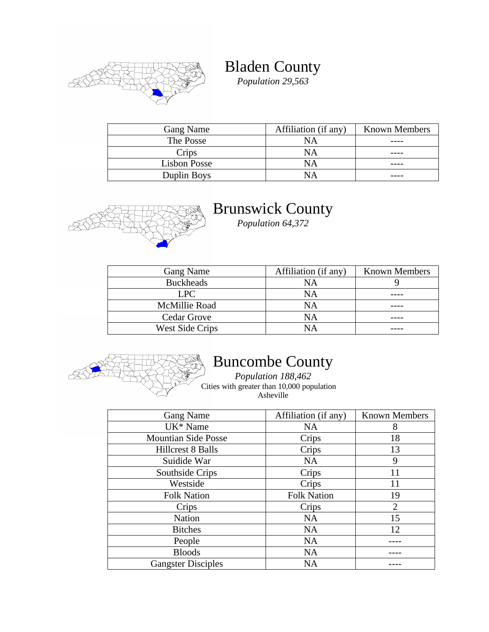

Bladen County

*Population 29,563*

| <b>Gang Name</b> | Affiliation (if any) | <b>Known Members</b> |
|------------------|----------------------|----------------------|
| The Posse        | NΑ                   |                      |
| Crips            | <b>NA</b>            |                      |
| Lisbon Posse     | NA                   |                      |
| Duplin Boys      |                      |                      |



#### Brunswick County

*Population 64,372*

| Gang Name        | Affiliation (if any) | <b>Known Members</b> |
|------------------|----------------------|----------------------|
| <b>Buckheads</b> | NA                   |                      |
| LPC.             | NA                   |                      |
| McMillie Road    | NA                   |                      |
| Cedar Grove      | NA                   |                      |
| West Side Crips  | NΑ                   |                      |



# Buncombe County

*Population 188,462* Cities with greater than 10,000 population Asheville

| Gang Name                  | Affiliation (if any) | <b>Known Members</b> |
|----------------------------|----------------------|----------------------|
| UK <sup>*</sup> Name       | <b>NA</b>            | 8                    |
| <b>Mountian Side Posse</b> | Crips                | 18                   |
| <b>Hillcrest 8 Balls</b>   | Crips                | 13                   |
| Suidide War                | <b>NA</b>            | 9                    |
| Southside Crips            | Crips                | 11                   |
| Westside                   | Crips                | 11                   |
| <b>Folk Nation</b>         | <b>Folk Nation</b>   | 19                   |
| Crips                      | Crips                | $\overline{2}$       |
| <b>Nation</b>              | <b>NA</b>            | 15                   |
| <b>Bitches</b>             | <b>NA</b>            | 12                   |
| People                     | <b>NA</b>            |                      |
| <b>Bloods</b>              | <b>NA</b>            |                      |
| <b>Gangster Disciples</b>  | NA                   |                      |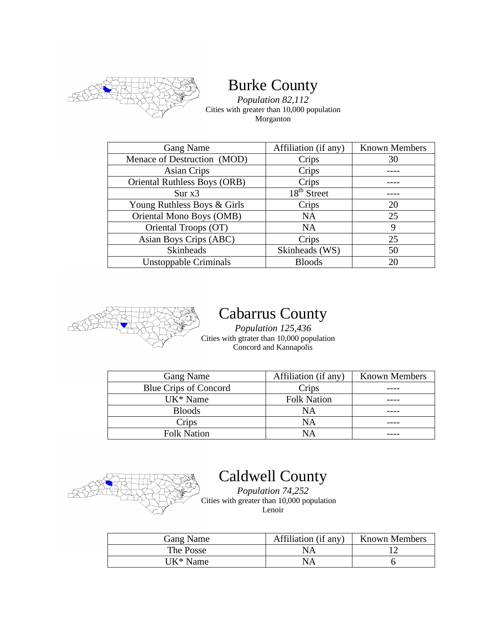

# Burke County

*Population 82,112* Cities with greater than 10,000 population Morganton

| Gang Name                           | Affiliation (if any) | <b>Known Members</b> |
|-------------------------------------|----------------------|----------------------|
| Menace of Destruction (MOD)         | Crips                | 30                   |
| <b>Asian Crips</b>                  | Crips                |                      |
| <b>Oriental Ruthless Boys (ORB)</b> | Crips                |                      |
| Sur x3                              | $18th$ Street        |                      |
| Young Ruthless Boys & Girls         | Crips                | 20                   |
| Oriental Mono Boys (OMB)            | <b>NA</b>            | 25                   |
| Oriental Troops (OT)                | <b>NA</b>            | 9                    |
| Asian Boys Crips (ABC)              | Crips                | 25                   |
| Skinheads                           | Skinheads (WS)       | 50                   |
| Unstoppable Criminals               | <b>Bloods</b>        | 20                   |



#### Cabarrus County

*Population 125,436* Cities with gtrater than 10,000 population Concord and Kannapolis

| Gang Name                    | Affiliation (if any) | <b>Known Members</b> |
|------------------------------|----------------------|----------------------|
| <b>Blue Crips of Concord</b> | Crips                |                      |
| UK <sup>*</sup> Name         | <b>Folk Nation</b>   |                      |
| <b>Bloods</b>                | NA                   |                      |
| Crips                        | NA                   |                      |
| <b>Folk Nation</b>           | NΑ                   |                      |



# Caldwell County

*Population 74,252* Cities with greater than 10,000 population Lenoir

| Gang Name | Affiliation (if any) | <b>Known Members</b> |
|-----------|----------------------|----------------------|
| The Posse | NΑ                   |                      |
| UK* Name  | NA                   |                      |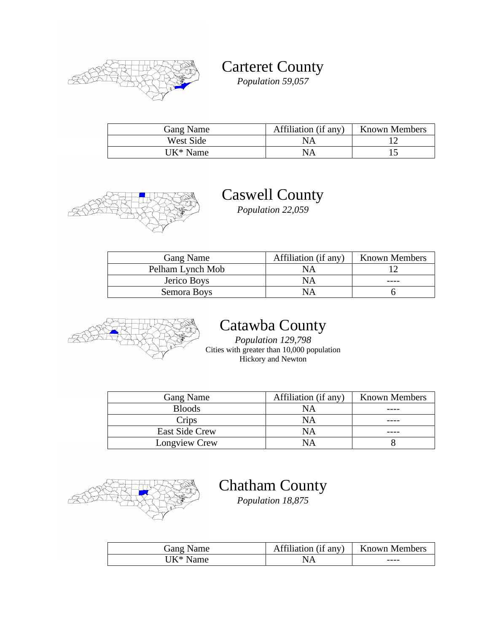

Carteret County *Population 59,057*

| Gang Name | Affiliation (if any) | <b>Known Members</b> |
|-----------|----------------------|----------------------|
| West Side | ΝA                   |                      |
| UK* Name  | NΑ                   |                      |



# Caswell County

*Population 22,059*

| <b>Gang Name</b> | Affiliation (if any) | <b>Known Members</b> |
|------------------|----------------------|----------------------|
| Pelham Lynch Mob | NΑ                   |                      |
| Jerico Boys      | ΝA                   |                      |
| Semora Boys      | ΝA                   |                      |



#### Catawba County

*Population 129,798* Cities with greater than 10,000 population Hickory and Newton

| Gang Name      | Affiliation (if any) | <b>Known Members</b> |
|----------------|----------------------|----------------------|
| <b>Bloods</b>  | NA                   |                      |
| Crips          | NΑ                   |                      |
| East Side Crew | ΝA                   |                      |
| Longview Crew  | NΑ                   |                      |



# Chatham County

*Population 18,875*

| Gang Name | Affiliation (if any) | <b>Known Members</b> |
|-----------|----------------------|----------------------|
| UK* Name  | NA                   | ----                 |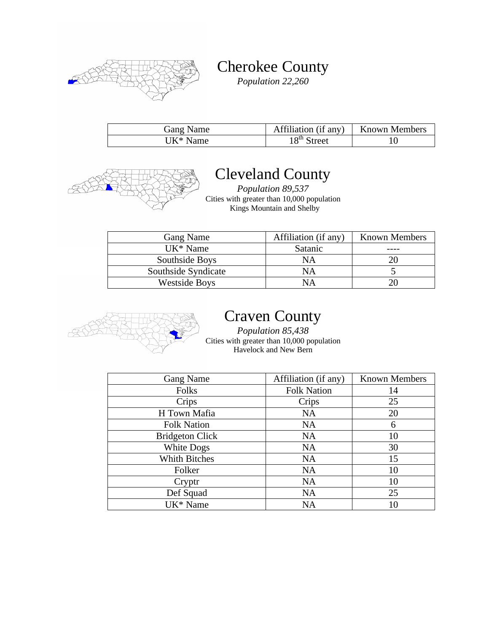

Cherokee County

*Population 22,260*

| Gang Name            | Affiliation (if any) | <b>Known Members</b> |
|----------------------|----------------------|----------------------|
| UK <sup>*</sup> Name | $18th$ Street        |                      |



### Cleveland County

*Population 89,537* Cities with greater than 10,000 population Kings Mountain and Shelby

| <b>Gang Name</b>     | Affiliation (if any) | <b>Known Members</b> |
|----------------------|----------------------|----------------------|
| UK <sup>*</sup> Name | Satanic              |                      |
| Southside Boys       | NΑ                   |                      |
| Southside Syndicate  | NА                   |                      |
| <b>Westside Boys</b> | NА                   |                      |



### Craven County

*Population 85,438* Cities with greater than 10,000 population Havelock and New Bern

| <b>Gang Name</b>       | Affiliation (if any) | <b>Known Members</b> |
|------------------------|----------------------|----------------------|
| Folks                  | <b>Folk Nation</b>   | 14                   |
| Crips                  | Crips                | 25                   |
| H Town Mafia           | <b>NA</b>            | 20                   |
| <b>Folk Nation</b>     | <b>NA</b>            | 6                    |
| <b>Bridgeton Click</b> | <b>NA</b>            | 10                   |
| White Dogs             | <b>NA</b>            | 30                   |
| <b>Whith Bitches</b>   | <b>NA</b>            | 15                   |
| Folker                 | <b>NA</b>            | 10                   |
| Cryptr                 | <b>NA</b>            | 10                   |
| Def Squad              | <b>NA</b>            | 25                   |
| UK <sup>*</sup> Name   | NA                   | 10                   |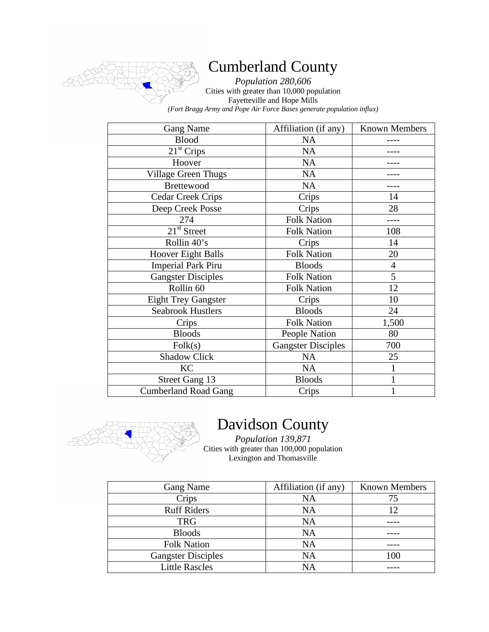

### Cumberland County

*Population 280,606* Cities with greater than 10,000 population Fayetteville and Hope Mills *(Fort Bragg Army and Pope Air Force Bases generate population influx)*

| <b>Gang Name</b>            | Affiliation (if any)      | <b>Known Members</b> |
|-----------------------------|---------------------------|----------------------|
| <b>Blood</b>                | <b>NA</b>                 |                      |
| 21 <sup>st</sup> Crips      | <b>NA</b>                 |                      |
| Hoover                      | <b>NA</b>                 |                      |
| <b>Village Green Thugs</b>  | <b>NA</b>                 |                      |
| <b>Brettewood</b>           | NA                        |                      |
| <b>Cedar Creek Crips</b>    | Crips                     | 14                   |
| Deep Creek Posse            | Crips                     | 28                   |
| 274                         | <b>Folk Nation</b>        |                      |
| $21st$ Street               | <b>Folk Nation</b>        | 108                  |
| Rollin 40's                 | Crips                     | 14                   |
| <b>Hoover Eight Balls</b>   | <b>Folk Nation</b>        | 20                   |
| <b>Imperial Park Piru</b>   | <b>Bloods</b>             | $\overline{4}$       |
| <b>Gangster Disciples</b>   | <b>Folk Nation</b>        | 5                    |
| Rollin <sub>60</sub>        | <b>Folk Nation</b>        | 12                   |
| <b>Eight Trey Gangster</b>  | Crips                     | 10                   |
| <b>Seabrook Hustlers</b>    | <b>Bloods</b>             | 24                   |
| Crips                       | <b>Folk Nation</b>        | 1,500                |
| <b>Bloods</b>               | People Nation             | 80                   |
| Folk(s)                     | <b>Gangster Disciples</b> | 700                  |
| <b>Shadow Click</b>         | <b>NA</b>                 | 25                   |
| <b>KC</b>                   | <b>NA</b>                 |                      |
| Street Gang 13              | <b>Bloods</b>             |                      |
| <b>Cumberland Road Gang</b> | Crips                     |                      |



# Davidson County

*Population 139,871* Cities with greater than 100,000 population Lexington and Thomasville

| Gang Name                 | Affiliation (if any) | <b>Known Members</b> |
|---------------------------|----------------------|----------------------|
| Crips                     | NA                   | 75                   |
| <b>Ruff Riders</b>        | <b>NA</b>            | 12                   |
| <b>TRG</b>                | <b>NA</b>            |                      |
| <b>Bloods</b>             | <b>NA</b>            |                      |
| <b>Folk Nation</b>        | <b>NA</b>            |                      |
| <b>Gangster Disciples</b> | <b>NA</b>            | 100                  |
| <b>Little Rascles</b>     | NA                   |                      |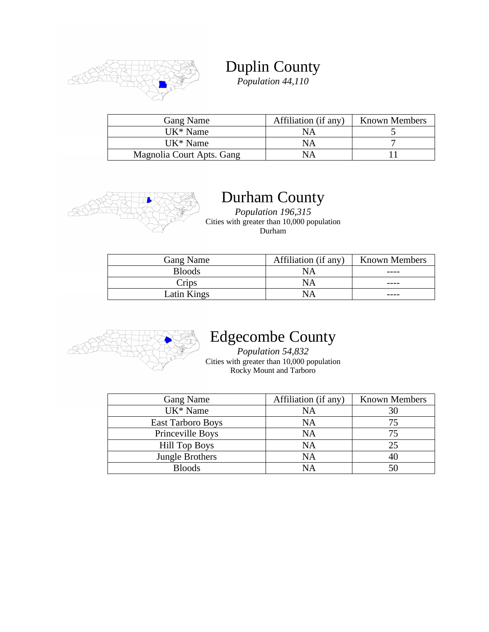

Duplin County *Population 44,110*

| Gang Name                 | Affiliation (if any) | <b>Known Members</b> |
|---------------------------|----------------------|----------------------|
| UK <sup>*</sup> Name      | ΝA                   |                      |
| UK <sup>*</sup> Name      | NΑ                   |                      |
| Magnolia Court Apts. Gang | NΑ                   |                      |



### Durham County

*Population 196,315* Cities with greater than 10,000 population Durham

| <b>Gang Name</b> | Affiliation (if any) | <b>Known Members</b> |
|------------------|----------------------|----------------------|
| <b>Bloods</b>    | NA                   |                      |
| Crips            | NA                   |                      |
| Latin Kings      |                      |                      |



### Edgecombe County

*Population 54,832* Cities with greater than 10,000 population Rocky Mount and Tarboro

| <b>Gang Name</b>         | Affiliation (if any) | <b>Known Members</b> |
|--------------------------|----------------------|----------------------|
| UK <sup>*</sup> Name     | NA                   | 30                   |
| <b>East Tarboro Boys</b> | <b>NA</b>            | 75                   |
| Princeville Boys         | <b>NA</b>            |                      |
| <b>Hill Top Boys</b>     | <b>NA</b>            | 25                   |
| Jungle Brothers          | NA                   |                      |
| <b>Bloods</b>            | NΑ                   |                      |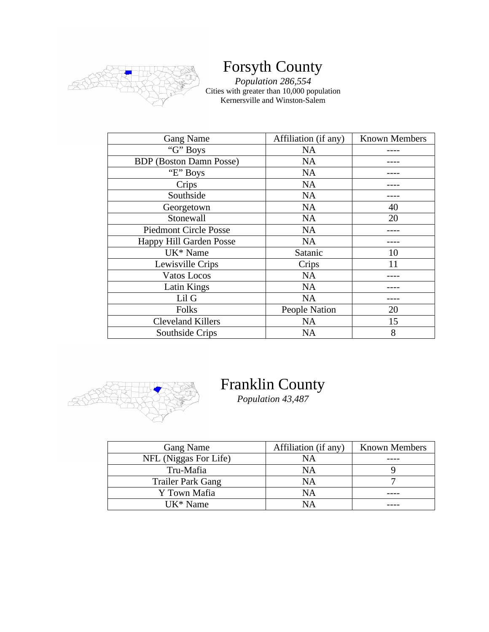

### Forsyth County

*Population 286,554* Cities with greater than 10,000 population Kernersville and Winston-Salem

| <b>Gang Name</b>               | Affiliation (if any) | <b>Known Members</b> |
|--------------------------------|----------------------|----------------------|
| "G" Boys                       | NA                   |                      |
| <b>BDP</b> (Boston Damn Posse) | <b>NA</b>            |                      |
| "E" Boys                       | <b>NA</b>            |                      |
| Crips                          | <b>NA</b>            |                      |
| Southside                      | <b>NA</b>            |                      |
| Georgetown                     | <b>NA</b>            | 40                   |
| Stonewall                      | <b>NA</b>            | 20                   |
| <b>Piedmont Circle Posse</b>   | <b>NA</b>            |                      |
| Happy Hill Garden Posse        | <b>NA</b>            |                      |
| UK <sup>*</sup> Name           | Satanic              | 10                   |
| Lewisville Crips               | Crips                | 11                   |
| Vatos Locos                    | <b>NA</b>            |                      |
| Latin Kings                    | <b>NA</b>            |                      |
| Lil G                          | <b>NA</b>            |                      |
| Folks                          | People Nation        | 20                   |
| Cleveland Killers              | <b>NA</b>            | 15                   |
| Southside Crips                | <b>NA</b>            | 8                    |



### Franklin County

*Population 43,487*

| <b>Gang Name</b>         | Affiliation (if any) | <b>Known Members</b> |
|--------------------------|----------------------|----------------------|
| NFL (Niggas For Life)    | NA                   |                      |
| Tru-Mafia                | NA                   |                      |
| <b>Trailer Park Gang</b> | NA                   |                      |
| Y Town Mafia             | NA                   |                      |
| UK <sup>*</sup> Name     | ΝA                   |                      |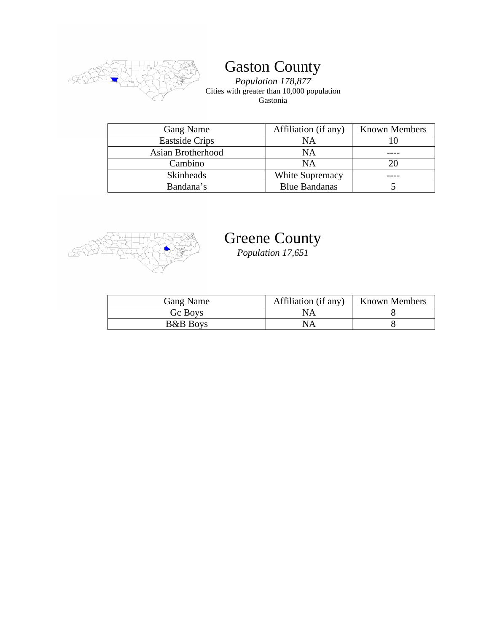

# Gaston County

*Population 178,877* Cities with greater than 10,000 population Gastonia

| <b>Gang Name</b>      | Affiliation (if any)   | <b>Known Members</b> |
|-----------------------|------------------------|----------------------|
| <b>Eastside Crips</b> | NA                     |                      |
| Asian Brotherhood     | NA                     |                      |
| Cambino               | <b>NA</b>              |                      |
| <b>Skinheads</b>      | <b>White Supremacy</b> |                      |
| Bandana's             | <b>Blue Bandanas</b>   |                      |



#### Greene County

*Population 17,651*

| Gang Name           | Affiliation (if any) | <b>Known Members</b> |
|---------------------|----------------------|----------------------|
| Gc Boys             | NА                   |                      |
| <b>B&amp;B</b> Boys | NA                   |                      |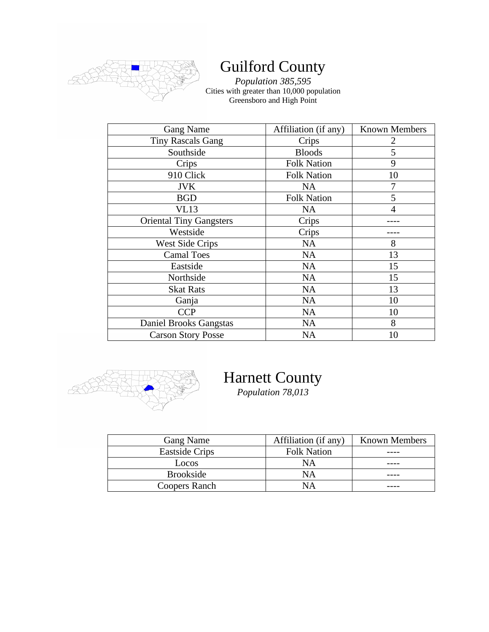

### Guilford County

*Population 385,595* Cities with greater than 10,000 population Greensboro and High Point

| <b>Gang Name</b>               | Affiliation (if any) | <b>Known Members</b> |
|--------------------------------|----------------------|----------------------|
| <b>Tiny Rascals Gang</b>       | Crips                | 2                    |
| Southside                      | <b>Bloods</b>        | 5                    |
| Crips                          | <b>Folk Nation</b>   | 9                    |
| 910 Click                      | <b>Folk Nation</b>   | 10                   |
| <b>JVK</b>                     | <b>NA</b>            |                      |
| <b>BGD</b>                     | <b>Folk Nation</b>   | 5                    |
| VL13                           | <b>NA</b>            | 4                    |
| <b>Oriental Tiny Gangsters</b> | Crips                |                      |
| Westside                       | Crips                |                      |
| <b>West Side Crips</b>         | <b>NA</b>            | 8                    |
| <b>Camal Toes</b>              | <b>NA</b>            | 13                   |
| Eastside                       | <b>NA</b>            | 15                   |
| Northside                      | <b>NA</b>            | 15                   |
| <b>Skat Rats</b>               | <b>NA</b>            | 13                   |
| Ganja                          | <b>NA</b>            | 10                   |
| <b>CCP</b>                     | <b>NA</b>            | 10                   |
| Daniel Brooks Gangstas         | <b>NA</b>            | 8                    |
| <b>Carson Story Posse</b>      | <b>NA</b>            | 10                   |



# Harnett County

*Population 78,013*

| <b>Gang Name</b>      | Affiliation (if any) | <b>Known Members</b> |
|-----------------------|----------------------|----------------------|
| <b>Eastside Crips</b> | <b>Folk Nation</b>   |                      |
| Locos                 | NΑ                   |                      |
| Brookside             | NΑ                   |                      |
| Coopers Ranch         | NΑ                   |                      |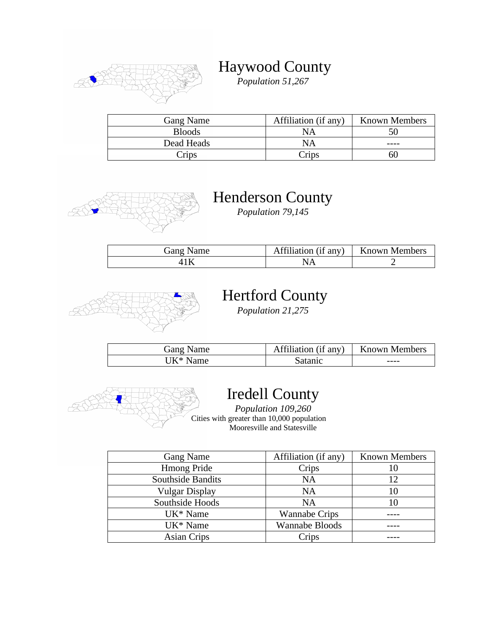

### Haywood County

*Population 51,267*

| <b>Gang Name</b> | Affiliation (if any) | <b>Known Members</b> |
|------------------|----------------------|----------------------|
| <b>Bloods</b>    | NА                   |                      |
| Dead Heads       | NA                   |                      |
| rips             | $\gamma$ rips        |                      |



### Henderson County

*Population 79,145*

| Gang Name | Affiliation (if any)   Known Members |  |
|-----------|--------------------------------------|--|
|           |                                      |  |



# Hertford County

*Population 21,275*

| Gang Name | Affiliation (if any) | Known Members |
|-----------|----------------------|---------------|
| UK* Name  | Satanic              | ----          |



#### Iredell County

*Population 109,260* Cities with greater than 10,000 population Mooresville and Statesville

| Gang Name            | Affiliation (if any)  | <b>Known Members</b>     |
|----------------------|-----------------------|--------------------------|
| <b>Hmong Pride</b>   | Crips                 |                          |
| Southside Bandits    | <b>NA</b>             | 12                       |
| Vulgar Display       | <b>NA</b>             | 10                       |
| Southside Hoods      | <b>NA</b>             | $\mathbf{I}(\mathbf{I})$ |
| UK <sup>*</sup> Name | <b>Wannabe Crips</b>  |                          |
| UK <sup>*</sup> Name | <b>Wannabe Bloods</b> |                          |
| Asian Crips          | Crips                 |                          |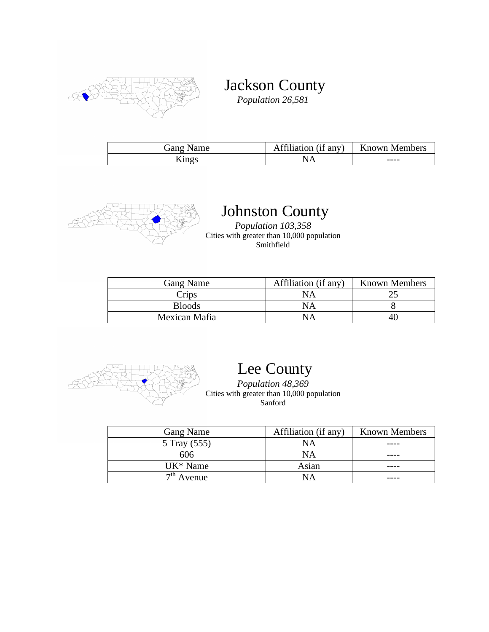

Jackson County

*Population 26,581*

| Gang Name | Affiliation (if any) | <b>Known Members</b> |
|-----------|----------------------|----------------------|
| Kings     |                      | ----                 |



# Johnston County

*Population 103,358* Cities with greater than 10,000 population Smithfield

| <b>Gang Name</b> | Affiliation (if any) | <b>Known Members</b> |
|------------------|----------------------|----------------------|
| Crips            | NА                   |                      |
| <b>Bloods</b>    | NА                   |                      |
| Mexican Mafia    |                      |                      |



# Lee County

*Population 48,369* Cities with greater than 10,000 population Sanford

| Gang Name            | Affiliation (if any) | <b>Known Members</b> |
|----------------------|----------------------|----------------------|
| 5 Tray (555)         | <b>NA</b>            |                      |
| 606                  | <b>NA</b>            |                      |
| UK <sup>*</sup> Name | Asian                |                      |
| $7th$ Avenue         | NΑ                   |                      |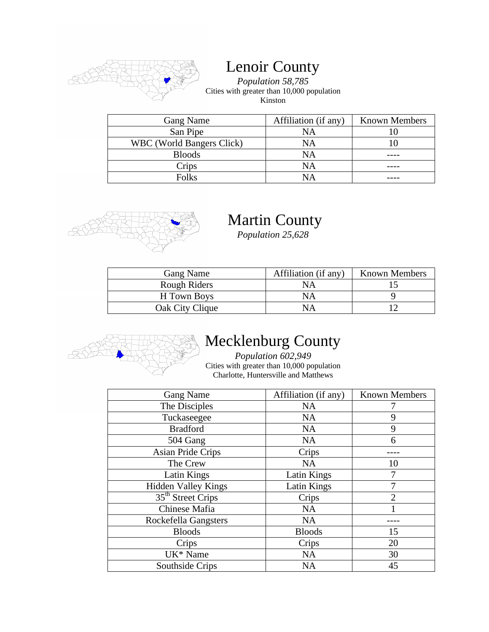

#### Lenoir County

*Population 58,785* Cities with greater than 10,000 population Kinston

| Gang Name                        | Affiliation (if any) | <b>Known Members</b> |
|----------------------------------|----------------------|----------------------|
| San Pipe                         | <b>NA</b>            |                      |
| <b>WBC</b> (World Bangers Click) | NA                   |                      |
| <b>Bloods</b>                    | NA                   |                      |
| Crips                            | <b>NA</b>            |                      |
| Folks                            | NА                   |                      |



# Martin County

*Population 25,628*

| <b>Gang Name</b> | Affiliation (if any) | <b>Known Members</b> |
|------------------|----------------------|----------------------|
| Rough Riders     | ΝA                   |                      |
| H Town Boys      | ΝA                   |                      |
| Oak City Clique  | <b>NA</b>            |                      |



# Mecklenburg County

*Population 602,949* Cities with greater than 10,000 population Charlotte, Huntersville and Matthews

| <b>Gang Name</b>              | Affiliation (if any) | <b>Known Members</b>        |
|-------------------------------|----------------------|-----------------------------|
| The Disciples                 | <b>NA</b>            |                             |
| Tuckaseegee                   | <b>NA</b>            | 9                           |
| <b>Bradford</b>               | <b>NA</b>            | 9                           |
| 504 Gang                      | <b>NA</b>            | 6                           |
| <b>Asian Pride Crips</b>      | Crips                |                             |
| The Crew                      | <b>NA</b>            | 10                          |
| Latin Kings                   | Latin Kings          |                             |
| <b>Hidden Valley Kings</b>    | Latin Kings          |                             |
| 35 <sup>th</sup> Street Crips | Crips                | $\mathcal{D}_{\mathcal{L}}$ |
| Chinese Mafia                 | <b>NA</b>            |                             |
| Rockefella Gangsters          | <b>NA</b>            |                             |
| <b>Bloods</b>                 | <b>Bloods</b>        | 15                          |
| Crips                         | Crips                | 20                          |
| UK <sup>*</sup> Name          | <b>NA</b>            | 30                          |
| Southside Crips               | <b>NA</b>            | 45                          |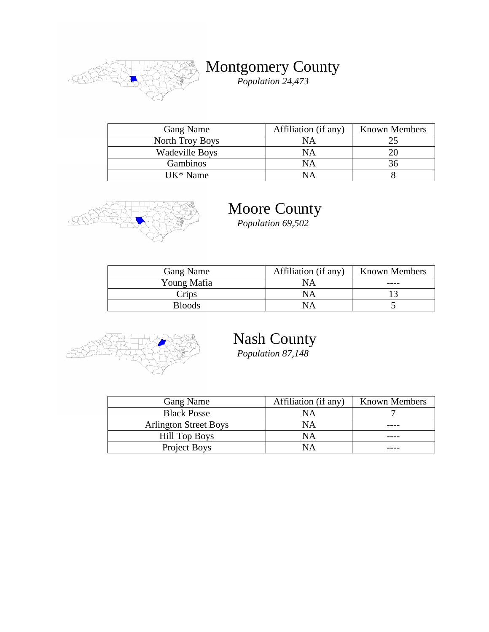

Montgomery County

*Population 24,473*

| <b>Gang Name</b>      | Affiliation (if any) | <b>Known Members</b> |
|-----------------------|----------------------|----------------------|
| North Troy Boys       | NA                   |                      |
| <b>Wadeville Boys</b> | NА                   |                      |
| <b>Gambinos</b>       | NА                   |                      |
| $UK*Name$             | JΔ                   |                      |



#### Moore County

*Population 69,502*

| Gang Name     | Affiliation (if any) | <b>Known Members</b> |
|---------------|----------------------|----------------------|
| Young Mafia   | NA                   |                      |
| Crips         | NА                   |                      |
| <b>Bloods</b> |                      |                      |



# Nash County

*Population 87,148*

| <b>Gang Name</b>             | Affiliation (if any) | <b>Known Members</b> |
|------------------------------|----------------------|----------------------|
| <b>Black Posse</b>           | NА                   |                      |
| <b>Arlington Street Boys</b> | NΑ                   |                      |
| <b>Hill Top Boys</b>         | NΑ                   |                      |
| Project Boys                 | NА                   |                      |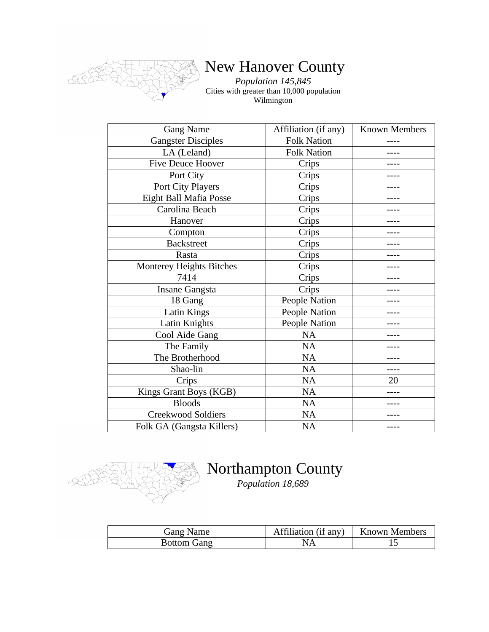

# New Hanover County

*Population 145,845* Cities with greater than 10,000 population Wilmington

| <b>Gang Name</b>          | Affiliation (if any) | <b>Known Members</b> |
|---------------------------|----------------------|----------------------|
| <b>Gangster Disciples</b> | <b>Folk Nation</b>   |                      |
| LA (Leland)               | <b>Folk Nation</b>   |                      |
| <b>Five Deuce Hoover</b>  | Crips                |                      |
| Port City                 | Crips                |                      |
| Port City Players         | Crips                |                      |
| Eight Ball Mafia Posse    | Crips                |                      |
| Carolina Beach            | Crips                |                      |
| Hanover                   | Crips                |                      |
| Compton                   | Crips                |                      |
| <b>Backstreet</b>         | Crips                |                      |
| Rasta                     | Crips                |                      |
| Monterey Heights Bitches  | Crips                |                      |
| 7414                      | Crips                |                      |
| <b>Insane Gangsta</b>     | Crips                |                      |
| 18 Gang                   | People Nation        |                      |
| <b>Latin Kings</b>        | People Nation        |                      |
| Latin Knights             | People Nation        |                      |
| Cool Aide Gang            | <b>NA</b>            |                      |
| The Family                | <b>NA</b>            |                      |
| The Brotherhood           | <b>NA</b>            |                      |
| Shao-lin                  | <b>NA</b>            | ----                 |
| Crips                     | NA                   | 20                   |
| Kings Grant Boys (KGB)    | <b>NA</b>            |                      |
| <b>Bloods</b>             | NA                   |                      |
| <b>Creekwood Soldiers</b> | <b>NA</b>            |                      |
| Folk GA (Gangsta Killers) | <b>NA</b>            |                      |



### Northampton County

*Population 18,689*

| Gang Name          | Affiliation (if any)   Known Members |  |
|--------------------|--------------------------------------|--|
| <b>Bottom Gang</b> |                                      |  |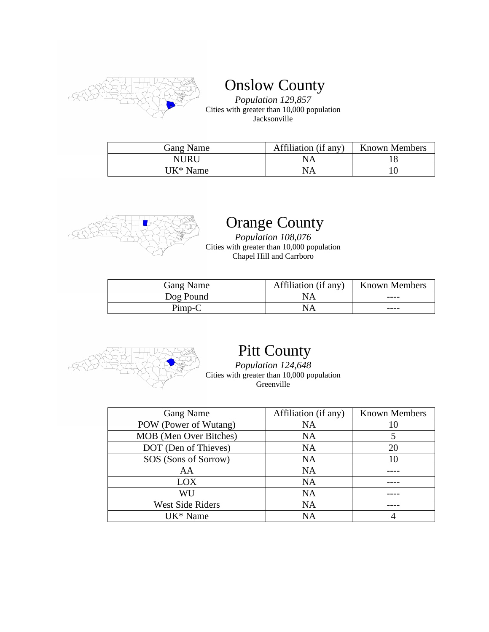

Onslow County

*Population 129,857* Cities with greater than 10,000 population Jacksonville

| Gang Name | Affiliation (if any) | <b>Known Members</b> |
|-----------|----------------------|----------------------|
| NURU      | NA                   |                      |
| UK* Name  | NA                   |                      |



# Orange County

*Population 108,076* Cities with greater than 10,000 population Chapel Hill and Carrboro

| Gang Name | Affiliation (if any) | <b>Known Members</b> |
|-----------|----------------------|----------------------|
| Dog Pound | NА                   | ----                 |
| $Pimp-C$  | NA                   | ----                 |



### Pitt County

*Population 124,648* Cities with greater than 10,000 population Greenville

| Gang Name               | Affiliation (if any) | <b>Known Members</b> |
|-------------------------|----------------------|----------------------|
| POW (Power of Wutang)   | NA                   |                      |
| MOB (Men Over Bitches)  | <b>NA</b>            |                      |
| DOT (Den of Thieves)    | <b>NA</b>            | 20                   |
| SOS (Sons of Sorrow)    | <b>NA</b>            |                      |
| AA                      | NA                   |                      |
| LOX                     | <b>NA</b>            |                      |
| WU                      | <b>NA</b>            |                      |
| <b>West Side Riders</b> | NA                   |                      |
| UK <sup>*</sup> Name    | NΑ                   |                      |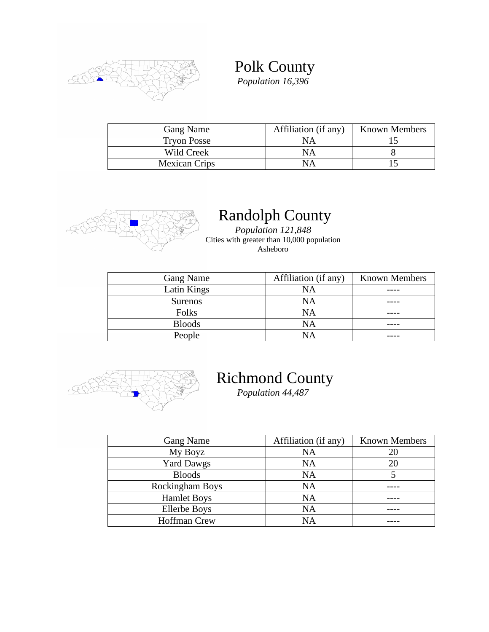

Polk County *Population 16,396*

| <b>Gang Name</b>     | Affiliation (if any) | <b>Known Members</b> |
|----------------------|----------------------|----------------------|
| <b>Tryon Posse</b>   | NA                   |                      |
| Wild Creek           |                      |                      |
| <b>Mexican Crips</b> |                      |                      |



# Randolph County

*Population 121,848* Cities with greater than 10,000 population Asheboro

| Gang Name      | Affiliation (if any) | <b>Known Members</b> |
|----------------|----------------------|----------------------|
| Latin Kings    | <b>NA</b>            |                      |
| <b>Surenos</b> | NA                   |                      |
| Folks          | <b>NA</b>            |                      |
| <b>Bloods</b>  | NA                   |                      |
| People         | JΑ                   |                      |



# Richmond County

*Population 44,487*

| Gang Name           | Affiliation (if any) | <b>Known Members</b> |
|---------------------|----------------------|----------------------|
| My Boyz             | NA                   |                      |
| <b>Yard Dawgs</b>   | NA                   | 20                   |
| <b>Bloods</b>       | <b>NA</b>            |                      |
| Rockingham Boys     | <b>NA</b>            |                      |
| <b>Hamlet Boys</b>  | NA                   |                      |
| <b>Ellerbe Boys</b> | NA                   |                      |
| <b>Hoffman Crew</b> | NΑ                   |                      |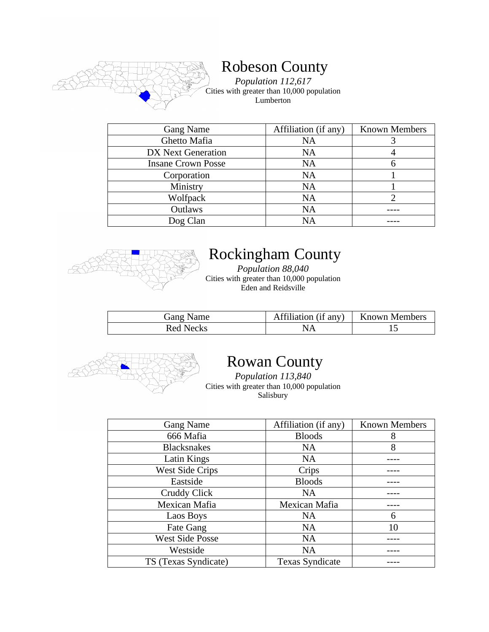

#### Robeson County

*Population 112,617* Cities with greater than 10,000 population Lumberton

| <b>Gang Name</b>          | Affiliation (if any) | <b>Known Members</b> |
|---------------------------|----------------------|----------------------|
| Ghetto Mafia              | <b>NA</b>            |                      |
| DX Next Generation        | <b>NA</b>            |                      |
| <b>Insane Crown Posse</b> | <b>NA</b>            |                      |
| Corporation               | <b>NA</b>            |                      |
| Ministry                  | <b>NA</b>            |                      |
| Wolfpack                  | <b>NA</b>            |                      |
| Outlaws                   | <b>NA</b>            |                      |
| Dog Clan                  | NΑ                   |                      |



### Rockingham County

*Population 88,040* Cities with greater than 10,000 population Eden and Reidsville

| <b>Gang Name</b> | Affiliation (if any) | <b>Known Members</b> |
|------------------|----------------------|----------------------|
| Red Necks        |                      |                      |



#### Rowan County

*Population 113,840* Cities with greater than 10,000 population Salisbury

| <b>Gang Name</b>       | Affiliation (if any)   | <b>Known Members</b> |
|------------------------|------------------------|----------------------|
| 666 Mafia              | <b>Bloods</b>          | 8                    |
| <b>Blacksnakes</b>     | <b>NA</b>              | 8                    |
| Latin Kings            | <b>NA</b>              |                      |
| <b>West Side Crips</b> | Crips                  |                      |
| Eastside               | <b>Bloods</b>          |                      |
| Cruddy Click           | <b>NA</b>              |                      |
| Mexican Mafia          | Mexican Mafia          |                      |
| Laos Boys              | <b>NA</b>              | 6                    |
| Fate Gang              | <b>NA</b>              | 10                   |
| <b>West Side Posse</b> | <b>NA</b>              |                      |
| Westside               | <b>NA</b>              |                      |
| TS (Texas Syndicate)   | <b>Texas Syndicate</b> |                      |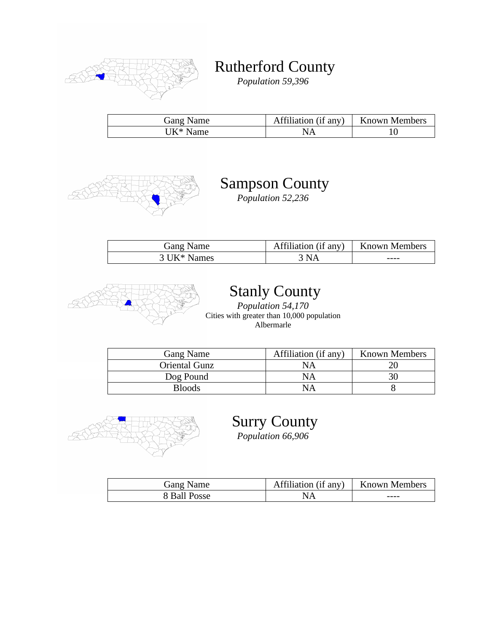

Rutherford County

*Population 59,396*

| Gang Name | Affiliation (if any) | <b>Known Members</b> |
|-----------|----------------------|----------------------|
| 'JK* Name |                      |                      |



### Sampson County

*Population 52,236*

| Gang Name               | Affiliation (if any) | Known Members |
|-------------------------|----------------------|---------------|
| 3 UK <sup>*</sup> Names | 3 NA                 | ----          |



# Stanly County

*Population 54,170* Cities with greater than 10,000 population Albermarle

| <b>Gang Name</b>     | Affiliation (if any) | <b>Known Members</b> |
|----------------------|----------------------|----------------------|
| <b>Oriental Gunz</b> | NΑ                   |                      |
| Dog Pound            | NΑ                   |                      |
| <b>Bloods</b>        | NΑ                   |                      |



Surry County

*Population 66,906*

| Gang Name    | Affiliation (if any) | <b>Known Members</b> |
|--------------|----------------------|----------------------|
| 8 Ball Posse |                      | ----                 |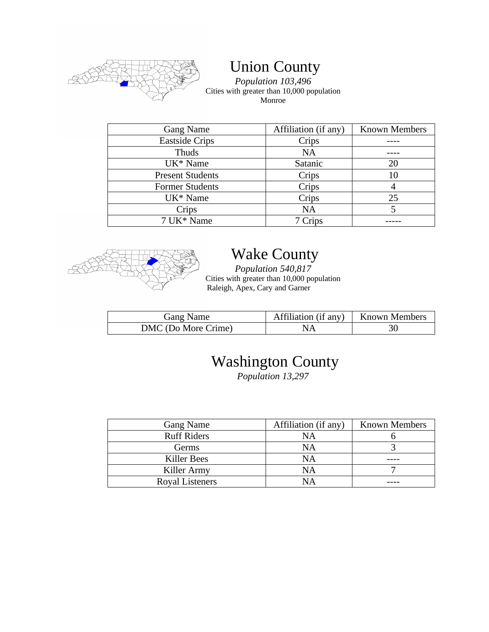

Union County

*Population 103,496* Cities with greater than 10,000 population Monroe

| Gang Name               | Affiliation (if any) | <b>Known Members</b> |
|-------------------------|----------------------|----------------------|
| <b>Eastside Crips</b>   | Crips                |                      |
| Thuds                   | <b>NA</b>            |                      |
| UK <sup>*</sup> Name    | Satanic              | 20                   |
| <b>Present Students</b> | Crips                |                      |
| <b>Former Students</b>  | Crips                |                      |
| UK <sup>*</sup> Name    | Crips                | 25                   |
| Crips                   | <b>NA</b>            |                      |
| 7 UK* Name              | 7 Crips              |                      |



# Wake County

*Population 540,817* Cities with greater than 10,000 population Raleigh, Apex, Cary and Garner

| Gang Name           | Affiliation (if any)   Known Members |    |
|---------------------|--------------------------------------|----|
| DMC (Do More Crime) |                                      | 30 |

# Washington County

*Population 13,297*

| Gang Name          | Affiliation (if any) | <b>Known Members</b> |
|--------------------|----------------------|----------------------|
| <b>Ruff Riders</b> | NA                   |                      |
| Germs              | NA                   |                      |
| Killer Bees        | NA                   |                      |
| Killer Army        | NA                   |                      |
| Royal Listeners    | JΑ                   |                      |